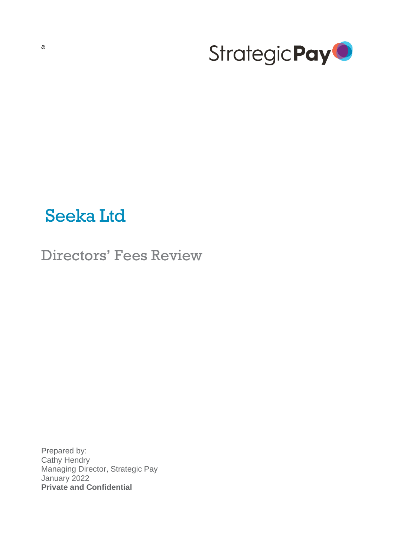<span id="page-0-0"></span>

# Seeka Ltd

Directors' Fees Review

Prepared by: Cathy Hendry Managing Director, Strategic Pay January 2022 **Private and Confidential**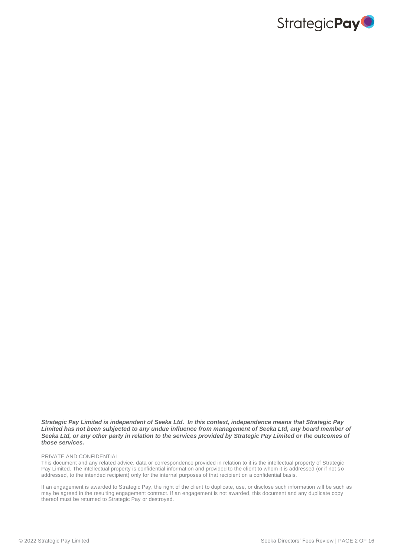

*Strategic Pay Limited is independent of Seeka Ltd. In this context, independence means that Strategic Pay Limited has not been subjected to any undue influence from management of Seeka Ltd, any board member of Seeka Ltd, or any other party in relation to the services provided by Strategic Pay Limited or the outcomes of those services.* 

#### PRIVATE AND CONFIDENTIAL

This document and any related advice, data or correspondence provided in relation to it is the intellectual property of Strategic Pay Limited. The intellectual property is confidential information and provided to the client to whom it is addressed (or if not so addressed, to the intended recipient) only for the internal purposes of that recipient on a confidential basis.

If an engagement is awarded to Strategic Pay, the right of the client to duplicate, use, or disclose such information will be such as may be agreed in the resulting engagement contract. If an engagement is not awarded, this document and any duplicate copy thereof must be returned to Strategic Pay or destroyed.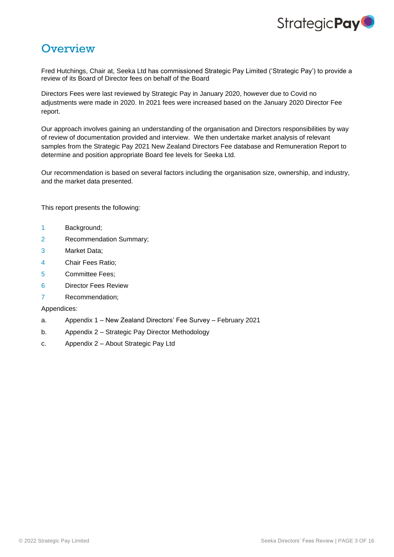

## **Overview**

Fred Hutchings, Chair at, Seeka Ltd has commissioned Strategic Pay Limited ('Strategic Pay') to provide a review of its Board of Director fees on behalf of the Board

Directors Fees were last reviewed by Strategic Pay in January 2020, however due to Covid no adjustments were made in 2020. In 2021 fees were increased based on the January 2020 Director Fee report.

Our approach involves gaining an understanding of the organisation and Directors responsibilities by way of review of documentation provided and interview. We then undertake market analysis of relevant samples from the Strategic Pay 2021 New Zealand Directors Fee database and Remuneration Report to determine and position appropriate Board fee levels for Seeka Ltd.

Our recommendation is based on several factors including the organisation size, ownership, and industry, and the market data presented.

This report presents the following:

- 1 Background;
- 2 Recommendation Summary;
- 3 Market Data;
- 4 Chair Fees Ratio;
- 5 Committee Fees;
- 6 Director Fees Review
- 7 Recommendation;

#### Appendices:

- a. Appendix 1 New Zealand Directors' Fee Survey February 2021
- b. Appendix 2 Strategic Pay Director Methodology
- c. Appendix 2 About Strategic Pay Ltd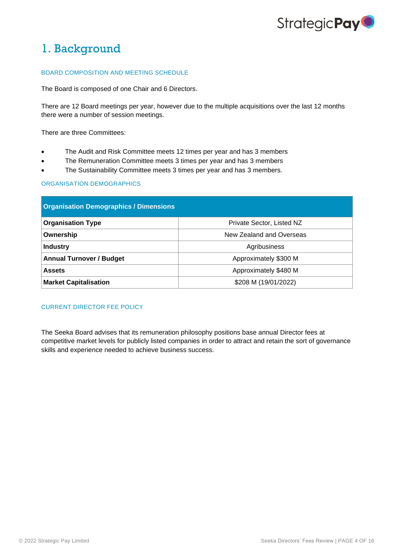

## 1. Background

#### BOARD COMPOSITION AND MEETING SCHEDULE

The Board is composed of one Chair and 6 Directors.

There are 12 Board meetings per year, however due to the multiple acquisitions over the last 12 months there were a number of session meetings.

There are three Committees:

- The Audit and Risk Committee meets 12 times per year and has 3 members
- The Remuneration Committee meets 3 times per year and has 3 members
- The Sustainability Committee meets 3 times per year and has 3 members.

#### ORGANISATION DEMOGRAPHICS

| <b>Organisation Demographics / Dimensions</b> |                           |  |  |  |
|-----------------------------------------------|---------------------------|--|--|--|
| <b>Organisation Type</b>                      | Private Sector, Listed NZ |  |  |  |
| Ownership                                     | New Zealand and Overseas  |  |  |  |
| <b>Industry</b>                               | Agribusiness              |  |  |  |
| <b>Annual Turnover / Budget</b>               | Approximately \$300 M     |  |  |  |
| <b>Assets</b>                                 | Approximately \$480 M     |  |  |  |
| <b>Market Capitalisation</b>                  | \$208 M (19/01/2022)      |  |  |  |

### CURRENT DIRECTOR FEE POLICY

The Seeka Board advises that its remuneration philosophy positions base annual Director fees at competitive market levels for publicly listed companies in order to attract and retain the sort of governance skills and experience needed to achieve business success.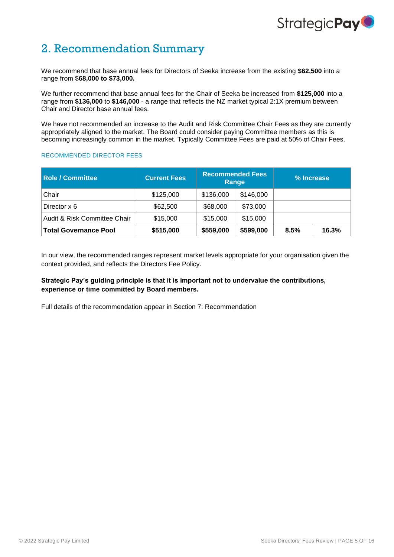# Strategic Pay<sup>O</sup>

## 2. Recommendation Summary

We recommend that base annual fees for Directors of Seeka increase from the existing **\$62,500** into a range from \$**68,000 to \$73,000.** 

We further recommend that base annual fees for the Chair of Seeka be increased from **\$125,000** into a range from **\$136,000** to **\$146,000** - a range that reflects the NZ market typical 2:1X premium between Chair and Director base annual fees.

We have not recommended an increase to the Audit and Risk Committee Chair Fees as they are currently appropriately aligned to the market. The Board could consider paying Committee members as this is becoming increasingly common in the market. Typically Committee Fees are paid at 50% of Chair Fees.

#### RECOMMENDED DIRECTOR FEES

| <b>Role / Committee</b>      | <b>Current Fees</b> | <b>Recommended Fees</b><br>Range |           |      | % Increase |
|------------------------------|---------------------|----------------------------------|-----------|------|------------|
| Chair                        | \$125,000           | \$136,000                        | \$146,000 |      |            |
| Director x 6                 | \$62,500            | \$68,000                         | \$73,000  |      |            |
| Audit & Risk Committee Chair | \$15,000            | \$15,000                         | \$15,000  |      |            |
| <b>Total Governance Pool</b> | \$515,000           | \$559,000                        | \$599,000 | 8.5% | 16.3%      |

In our view, the recommended ranges represent market levels appropriate for your organisation given the context provided, and reflects the Directors Fee Policy.

## **Strategic Pay's guiding principle is that it is important not to undervalue the contributions, experience or time committed by Board members.**

Full details of the recommendation appear in Section 7: Recommendation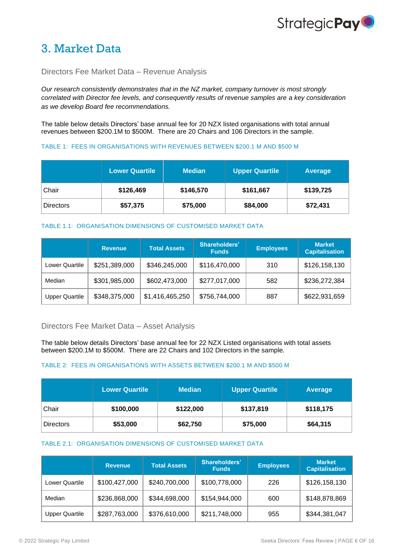

## 3. Market Data

## Directors Fee Market Data – Revenue Analysis

*Our research consistently demonstrates that in the NZ market, company turnover is most strongly correlated with Director fee levels, and consequently results of revenue samples are a key consideration as we develop Board fee recommendations.* 

The table below details Directors' base annual fee for 20 NZX listed organisations with total annual revenues between \$200.1M to \$500M. There are 20 Chairs and 106 Directors in the sample.

#### TABLE 1: FEES IN ORGANISATIONS WITH REVENUES BETWEEN \$200.1 M AND \$500 M

|                  | <b>Lower Quartile</b> | <b>Median</b> | <b>Upper Quartile</b> | <b>Average</b> |
|------------------|-----------------------|---------------|-----------------------|----------------|
| Chair            | \$126,469             | \$146,570     | \$161,667             | \$139,725      |
| <b>Directors</b> | \$57,375              | \$75,000      | \$84,000              | \$72,431       |

### TABLE 1.1: ORGANISATION DIMENSIONS OF CUSTOMISED MARKET DATA

|                       | <b>Revenue</b> | <b>Total Assets</b> | Shareholders'<br><b>Funds</b> | <b>Employees</b> | <b>Market</b><br><b>Capitalisation</b> |
|-----------------------|----------------|---------------------|-------------------------------|------------------|----------------------------------------|
| <b>Lower Quartile</b> | \$251,389,000  | \$346,245,000       | \$116,470,000                 | 310              | \$126,158,130                          |
| Median                | \$301,985,000  | \$602,473,000       | \$277,017,000                 | 582              | \$236,272,384                          |
| <b>Upper Quartile</b> | \$348,375,000  | \$1,416,465,250     | \$756,744,000                 | 887              | \$622,931,659                          |

### Directors Fee Market Data – Asset Analysis

The table below details Directors' base annual fee for 22 NZX Listed organisations with total assets between \$200.1M to \$500M. There are 22 Chairs and 102 Directors in the sample.

#### TABLE 2: FEES IN ORGANISATIONS WITH ASSETS BETWEEN \$200.1 M AND \$500 M

|           | <b>Lower Quartile</b> | <b>Median</b> | <b>Upper Quartile</b> | <b>Average</b> |
|-----------|-----------------------|---------------|-----------------------|----------------|
| ∣Chair    | \$100,000             | \$122,000     | \$137,819             | \$118,175      |
| Directors | \$53,000              | \$62,750      | \$75,000              | \$64,315       |

#### TABLE 2.1: ORGANISATION DIMENSIONS OF CUSTOMISED MARKET DATA

|                       | <b>Revenue</b> | <b>Total Assets</b> | Shareholders'<br><b>Funds</b> | <b>Employees</b> | <b>Market</b><br><b>Capitalisation</b> |
|-----------------------|----------------|---------------------|-------------------------------|------------------|----------------------------------------|
| Lower Quartile        | \$100,427,000  | \$240,700,000       | \$100,778,000                 | 226              | \$126,158,130                          |
| Median                | \$236,868,000  | \$344,698,000       | \$154,944,000                 | 600              | \$148,878,869                          |
| <b>Upper Quartile</b> | \$287,763,000  | \$376,610,000       | \$211,748,000                 | 955              | \$344,381,047                          |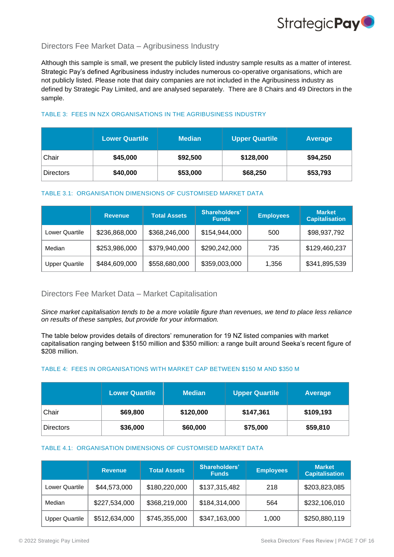

## Directors Fee Market Data – Agribusiness Industry

Although this sample is small, we present the publicly listed industry sample results as a matter of interest. Strategic Pay's defined Agribusiness industry includes numerous co-operative organisations, which are not publicly listed. Please note that dairy companies are not included in the Agribusiness industry as defined by Strategic Pay Limited, and are analysed separately. There are 8 Chairs and 49 Directors in the sample.

## TABLE 3: FEES IN NZX ORGANISATIONS IN THE AGRIBUSINESS INDUSTRY

|                  | <b>Lower Quartile</b> | <b>Median</b> | <b>Upper Quartile</b> | Average  |
|------------------|-----------------------|---------------|-----------------------|----------|
| Chair            | \$45,000              | \$92,500      | \$128,000             | \$94,250 |
| <b>Directors</b> | \$40,000              | \$53,000      | \$68,250              | \$53,793 |

### TABLE 3.1: ORGANISATION DIMENSIONS OF CUSTOMISED MARKET DATA

|                       | <b>Revenue</b> | <b>Total Assets</b> | Shareholders'<br><b>Funds</b> | <b>Employees</b> | <b>Market</b><br><b>Capitalisation</b> |
|-----------------------|----------------|---------------------|-------------------------------|------------------|----------------------------------------|
| Lower Quartile        | \$236,868,000  | \$368,246,000       | \$154,944,000                 | 500              | \$98,937,792                           |
| Median                | \$253,986,000  | \$379,940,000       | \$290,242,000                 | 735              | \$129,460,237                          |
| <b>Upper Quartile</b> | \$484,609,000  | \$558,680,000       | \$359,003,000                 | 1,356            | \$341,895,539                          |

## Directors Fee Market Data – Market Capitalisation

*Since market capitalisation tends to be a more volatile figure than revenues, we tend to place less reliance on results of these samples, but provide for your information.*

The table below provides details of directors' remuneration for 19 NZ listed companies with market capitalisation ranging between \$150 million and \$350 million: a range built around Seeka's recent figure of \$208 million.

### TABLE 4: FEES IN ORGANISATIONS WITH MARKET CAP BETWEEN \$150 M AND \$350 M

|                  | <b>Lower Quartile</b> | <b>Median</b> | <b>Upper Quartile</b> | Average   |
|------------------|-----------------------|---------------|-----------------------|-----------|
| Chair            | \$69,800              | \$120,000     | \$147,361             | \$109,193 |
| <b>Directors</b> | \$36,000              | \$60,000      | \$75,000              | \$59,810  |

#### TABLE 4.1: ORGANISATION DIMENSIONS OF CUSTOMISED MARKET DATA

|                       | <b>Revenue</b> | <b>Total Assets</b> | <b>Shareholders'</b><br><b>Funds</b> | <b>Employees</b> | <b>Market</b><br><b>Capitalisation</b> |
|-----------------------|----------------|---------------------|--------------------------------------|------------------|----------------------------------------|
| <b>Lower Quartile</b> | \$44,573,000   | \$180,220,000       | \$137,315,482                        | 218              | \$203,823,085                          |
| Median                | \$227,534,000  | \$368,219,000       | \$184,314,000                        | 564              | \$232,106,010                          |
| <b>Upper Quartile</b> | \$512,634,000  | \$745,355,000       | \$347,163,000                        | 1,000            | \$250,880,119                          |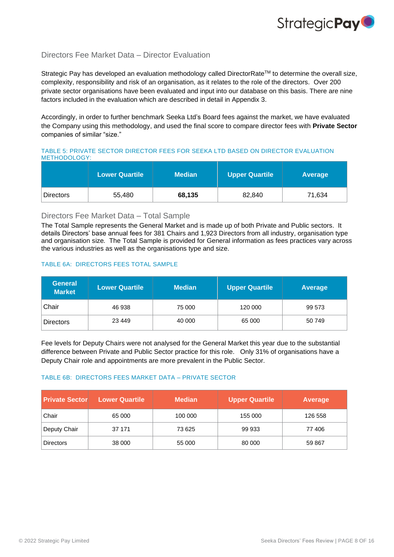## Directors Fee Market Data – Director Evaluation

Strategic Pay has developed an evaluation methodology called DirectorRate<sup>™</sup> to determine the overall size, complexity, responsibility and risk of an organisation, as it relates to the role of the directors. Over 200 private sector organisations have been evaluated and input into our database on this basis. There are nine factors included in the evaluation which are described in detail in Appendix 3.

Accordingly, in order to further benchmark [Seeka Ltd's](#page-0-0) Board fees against the market, we have evaluated the Company using this methodology, and used the final score to compare director fees with **Private Sector** companies of similar "size."

TABLE 5: PRIVATE SECTOR DIRECTOR FEES FOR [SEEKA LTD](#page-0-0) BASED ON DIRECTOR EVALUATION METHODOLOGY:

|                  | <b>Lower Quartile</b> | Median \ | Upper Quartile | Average |
|------------------|-----------------------|----------|----------------|---------|
| <b>Directors</b> | 55,480                | 68,135   | 82,840         | 71,634  |

## Directors Fee Market Data – Total Sample

The Total Sample represents the General Market and is made up of both Private and Public sectors. It details Directors' base annual fees for 381 Chairs and 1,923 Directors from all industry, organisation type and organisation size*.* The Total Sample is provided for General information as fees practices vary across the various industries as well as the organisations type and size.

### TABLE 6A: DIRECTORS FEES TOTAL SAMPLE

| <b>General</b><br><b>Market</b> | <b>Lower Quartile</b> | <b>Median</b> | <b>Upper Quartile</b> | Average |
|---------------------------------|-----------------------|---------------|-----------------------|---------|
| Chair                           | 46 938                | 75 000        | 120 000               | 99 573  |
| <b>Directors</b>                | 23 4 4 9              | 40 000        | 65 000                | 50 749  |

Fee levels for Deputy Chairs were not analysed for the General Market this year due to the substantial difference between Private and Public Sector practice for this role. Only 31% of organisations have a Deputy Chair role and appointments are more prevalent in the Public Sector.

### TABLE 6B: DIRECTORS FEES MARKET DATA – PRIVATE SECTOR

| <b>Private Sector</b> | <b>Lower Quartile</b> | <b>Median</b> | <b>Upper Quartile</b> | Average |
|-----------------------|-----------------------|---------------|-----------------------|---------|
| Chair                 | 65 000                | 100 000       | 155 000               | 126 558 |
| Deputy Chair          | 37 171                | 73 625        | 99 933                | 77 406  |
| <b>Directors</b>      | 38 000                | 55 000        | 80 000                | 59 867  |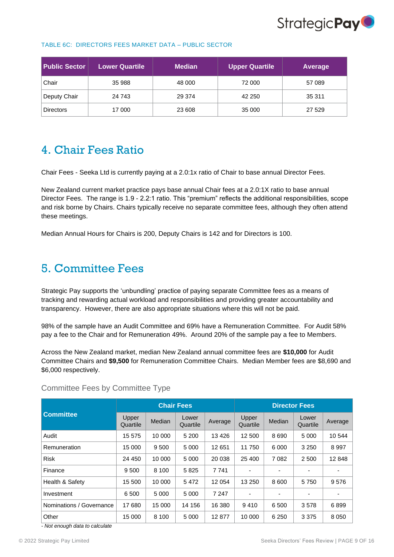

#### TABLE 6C: DIRECTORS FEES MARKET DATA – PUBLIC SECTOR

| <b>Public Sector</b> | <b>Lower Quartile</b> | <b>Median</b> | <b>Upper Quartile</b> | <b>Average</b> |
|----------------------|-----------------------|---------------|-----------------------|----------------|
| Chair                | 35 988                | 48 000        | 72 000                | 57 089         |
| Deputy Chair         | 24 743                | 29 374        | 42 250                | 35 311         |
| <b>Directors</b>     | 17 000                | 23 608        | 35 000                | 27 529         |

## 4. Chair Fees Ratio

Chair Fees - [Seeka Ltd](#page-0-0) is currently paying at a 2.0:1x ratio of Chair to base annual Director Fees.

New Zealand current market practice pays base annual Chair fees at a 2.0:1X ratio to base annual Director Fees. The range is 1.9 - 2.2:1 ratio. This "premium" reflects the additional responsibilities, scope and risk borne by Chairs. Chairs typically receive no separate committee fees, although they often attend these meetings.

Median Annual Hours for Chairs is 200, Deputy Chairs is 142 and for Directors is 100.

## 5. Committee Fees

Strategic Pay supports the 'unbundling' practice of paying separate Committee fees as a means of tracking and rewarding actual workload and responsibilities and providing greater accountability and transparency. However, there are also appropriate situations where this will not be paid.

98% of the sample have an Audit Committee and 69% have a Remuneration Committee. For Audit 58% pay a fee to the Chair and for Remuneration 49%. Around 20% of the sample pay a fee to Members.

Across the New Zealand market, median New Zealand annual committee fees are **\$10,000** for Audit Committee Chairs and **\$9,500** for Remuneration Committee Chairs. Median Member fees are \$8,690 and \$6,000 respectively.

|                          | <b>Chair Fees</b> |         |                   | <b>Director Fees</b> |                   |                          |                   |         |
|--------------------------|-------------------|---------|-------------------|----------------------|-------------------|--------------------------|-------------------|---------|
| <b>Committee</b>         | Upper<br>Quartile | Median  | Lower<br>Quartile | Average              | Upper<br>Quartile | <b>Median</b>            | Lower<br>Quartile | Average |
| Audit                    | 15 575            | 10 000  | 5 200             | 13 4 26              | 12 500            | 8690                     | 5 0 0 0           | 10 544  |
| Remuneration             | 15 000            | 9 5 0 0 | 5 0 0 0           | 12 651               | 11 750            | 6 0 0 0                  | 3 2 5 0           | 8997    |
| <b>Risk</b>              | 24 450            | 10 000  | 5 0 0 0           | 20 038               | 25 400            | 7 0 8 2                  | 2 5 0 0           | 12 848  |
| Finance                  | 9 500             | 8 1 0 0 | 5825              | 7741                 | ٠                 | ٠                        | -                 |         |
| Health & Safety          | 15 500            | 10 000  | 5472              | 12 054               | 13 250            | 8 600                    | 5750              | 9576    |
| Investment               | 6 500             | 5 0 0 0 | 5 0 0 0           | 7 2 4 7              | ٠                 | $\overline{\phantom{0}}$ | -                 |         |
| Nominations / Governance | 17680             | 15 000  | 14 156            | 16 380               | 9410              | 6 500                    | 3578              | 6899    |
| Other                    | 15 000            | 8 1 0 0 | 5 0 0 0           | 12877                | 10 000            | 6 2 5 0                  | 3 3 7 5           | 8 0 5 0 |

Committee Fees by Committee Type

*- Not enough data to calculate*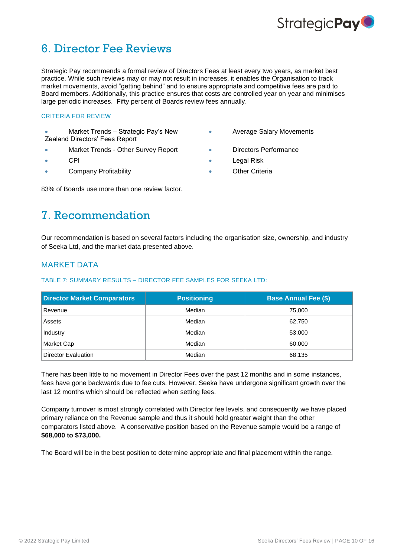

## 6. Director Fee Reviews

Strategic Pay recommends a formal review of Directors Fees at least every two years, as market best practice. While such reviews may or may not result in increases, it enables the Organisation to track market movements, avoid "getting behind" and to ensure appropriate and competitive fees are paid to Board members. Additionally, this practice ensures that costs are controlled year on year and minimises large periodic increases. Fifty percent of Boards review fees annually.

#### CRITERIA FOR REVIEW

• Market Trends – Strategic Pay's New Zealand Directors' Fees Report

- Market Trends Other Survey Report  **Directors Performance**
- 
- **Company Profitability Company Profitability 1988**

• Average Salary Movements

- 
- CPI Legal Risk
	-

83% of Boards use more than one review factor.

## 7. Recommendation

Our recommendation is based on several factors including the organisation size, ownership, and industry of [Seeka Ltd,](#page-0-0) and the market data presented above.

## MARKET DATA

## TABLE 7: SUMMARY RESULTS – DIRECTOR FEE SAMPLES FOR [SEEKA LTD:](#page-0-0)

| <b>Director Market Comparators</b> | <b>Positioning</b> | <b>Base Annual Fee (\$)</b> |  |  |
|------------------------------------|--------------------|-----------------------------|--|--|
| Revenue                            | Median             | 75,000                      |  |  |
| Assets                             | Median             | 62.750                      |  |  |
| Industry                           | Median             | 53,000                      |  |  |
| Market Cap                         | Median             | 60,000                      |  |  |
| <b>Director Evaluation</b>         | Median             | 68,135                      |  |  |

There has been little to no movement in Director Fees over the past 12 months and in some instances, fees have gone backwards due to fee cuts. However, Seeka have undergone significant growth over the last 12 months which should be reflected when setting fees.

Company turnover is most strongly correlated with Director fee levels, and consequently we have placed primary reliance on the Revenue sample and thus it should hold greater weight than the other comparators listed above. A conservative position based on the Revenue sample would be a range of **\$68,000 to \$73,000.**

The Board will be in the best position to determine appropriate and final placement within the range.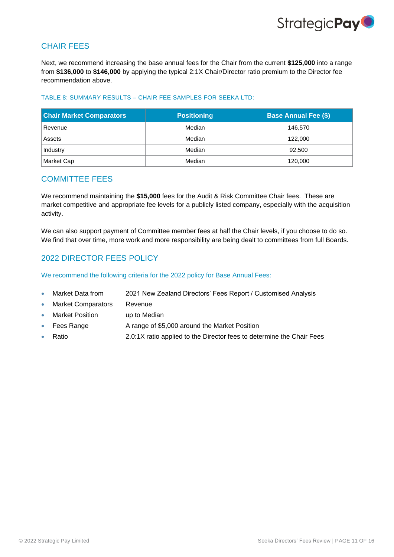

## CHAIR FEES

Next, we recommend increasing the base annual fees for the Chair from the current **\$125,000** into a range from **\$136,000** to **\$146,000** by applying the typical 2:1X Chair/Director ratio premium to the Director fee recommendation above.

### TABLE 8: SUMMARY RESULTS – CHAIR FEE SAMPLES FOR [SEEKA LTD:](#page-0-0)

| <b>Chair Market Comparators</b> | <b>Positioning</b> | <b>Base Annual Fee (\$)</b> |
|---------------------------------|--------------------|-----------------------------|
| Revenue                         | Median             | 146.570                     |
| Assets                          | Median             | 122,000                     |
| Industry                        | Median             | 92,500                      |
| Market Cap                      | Median             | 120,000                     |

## COMMITTEE FEES

We recommend maintaining the **\$15,000** fees for the Audit & Risk Committee Chair fees. These are market competitive and appropriate fee levels for a publicly listed company, especially with the acquisition activity.

We can also support payment of Committee member fees at half the Chair levels, if you choose to do so. We find that over time, more work and more responsibility are being dealt to committees from full Boards.

## 2022 DIRECTOR FEES POLICY

We recommend the following criteria for the 2022 policy for Base Annual Fees:

- Market Data from 2021 New Zealand Directors' Fees Report / Customised Analysis
- Market Comparators Revenue
- Market Position by up to Median
- Fees Range **A** range of \$5,000 around the Market Position
- Ratio 2.0:1X ratio applied to the Director fees to determine the Chair Fees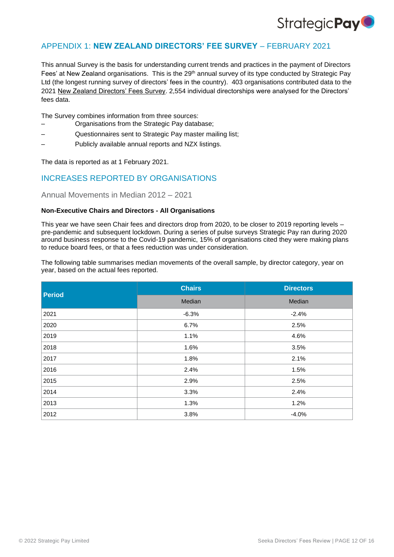

## APPENDIX 1: **NEW ZEALAND DIRECTORS' FEE SURVEY** – FEBRUARY 2021

This annual Survey is the basis for understanding current trends and practices in the payment of Directors Fees' at New Zealand organisations. This is the 29<sup>th</sup> annual survey of its type conducted by Strategic Pay Ltd (the longest running survey of directors' fees in the country). 403 organisations contributed data to the 2021 New Zealand Directors' Fees Survey. 2,554 individual directorships were analysed for the Directors' fees data.

The Survey combines information from three sources:

- Organisations from the Strategic Pay database;
- Questionnaires sent to Strategic Pay master mailing list;
- Publicly available annual reports and NZX listings.

The data is reported as at 1 February 2021.

## INCREASES REPORTED BY ORGANISATIONS

Annual Movements in Median 2012 – 2021

#### **Non-Executive Chairs and Directors - All Organisations**

This year we have seen Chair fees and directors drop from 2020, to be closer to 2019 reporting levels – pre-pandemic and subsequent lockdown. During a series of pulse surveys Strategic Pay ran during 2020 around business response to the Covid-19 pandemic, 15% of organisations cited they were making plans to reduce board fees, or that a fees reduction was under consideration.

The following table summarises median movements of the overall sample, by director category, year on year, based on the actual fees reported.

| <b>Period</b> | <b>Chairs</b> | <b>Directors</b> |
|---------------|---------------|------------------|
|               | Median        | Median           |
| 2021          | $-6.3%$       | $-2.4%$          |
| 2020          | 6.7%          | 2.5%             |
| 2019          | 1.1%          | 4.6%             |
| 2018          | 1.6%          | 3.5%             |
| 2017          | 1.8%          | 2.1%             |
| 2016          | 2.4%          | 1.5%             |
| 2015          | 2.9%          | 2.5%             |
| 2014          | 3.3%          | 2.4%             |
| 2013          | 1.3%          | 1.2%             |
| 2012          | 3.8%          | $-4.0%$          |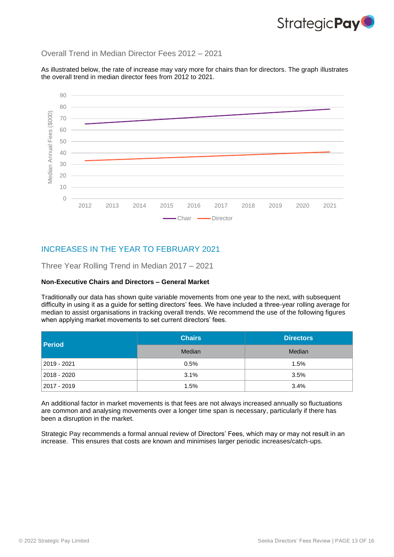

## Overall Trend in Median Director Fees 2012 – 2021

As illustrated below, the rate of increase may vary more for chairs than for directors. The graph illustrates the overall trend in median director fees from 2012 to 2021.



## INCREASES IN THE YEAR TO FEBRUARY 2021

Three Year Rolling Trend in Median 2017 – 2021

### **Non-Executive Chairs and Directors – General Market**

Traditionally our data has shown quite variable movements from one year to the next, with subsequent difficulty in using it as a guide for setting directors' fees. We have included a three-year rolling average for median to assist organisations in tracking overall trends. We recommend the use of the following figures when applying market movements to set current directors' fees.

| <b>Period</b>   | <b>Chairs</b> | <b>Directors</b> |
|-----------------|---------------|------------------|
|                 | Median        | Median           |
| 2019 - 2021     | 0.5%          | 1.5%             |
| 2018 - 2020     | 3.1%          | 3.5%             |
| $ 2017 - 2019 $ | 1.5%          | 3.4%             |

An additional factor in market movements is that fees are not always increased annually so fluctuations are common and analysing movements over a longer time span is necessary, particularly if there has been a disruption in the market.

Strategic Pay recommends a formal annual review of Directors' Fees, which may or may not result in an increase. This ensures that costs are known and minimises larger periodic increases/catch-ups.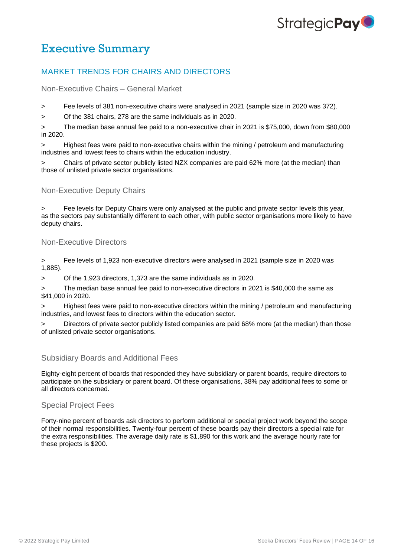# Strategic **Pay**

## Executive Summary

## MARKET TRENDS FOR CHAIRS AND DIRECTORS

Non-Executive Chairs – General Market

> Fee levels of 381 non-executive chairs were analysed in 2021 (sample size in 2020 was 372).

> Of the 381 chairs, 278 are the same individuals as in 2020.

> The median base annual fee paid to a non-executive chair in 2021 is \$75,000, down from \$80,000 in 2020.

> Highest fees were paid to non-executive chairs within the mining / petroleum and manufacturing industries and lowest fees to chairs within the education industry.

Chairs of private sector publicly listed NZX companies are paid 62% more (at the median) than those of unlisted private sector organisations.

## Non-Executive Deputy Chairs

Fee levels for Deputy Chairs were only analysed at the public and private sector levels this year, as the sectors pay substantially different to each other, with public sector organisations more likely to have deputy chairs.

## Non-Executive Directors

> Fee levels of 1,923 non-executive directors were analysed in 2021 (sample size in 2020 was 1,885).

> Of the 1,923 directors, 1,373 are the same individuals as in 2020.

The median base annual fee paid to non-executive directors in 2021 is \$40,000 the same as \$41,000 in 2020.

Highest fees were paid to non-executive directors within the mining / petroleum and manufacturing industries, and lowest fees to directors within the education sector.

Directors of private sector publicly listed companies are paid 68% more (at the median) than those of unlisted private sector organisations.

## Subsidiary Boards and Additional Fees

Eighty-eight percent of boards that responded they have subsidiary or parent boards, require directors to participate on the subsidiary or parent board. Of these organisations, 38% pay additional fees to some or all directors concerned.

### Special Project Fees

Forty-nine percent of boards ask directors to perform additional or special project work beyond the scope of their normal responsibilities. Twenty-four percent of these boards pay their directors a special rate for the extra responsibilities. The average daily rate is \$1,890 for this work and the average hourly rate for these projects is \$200.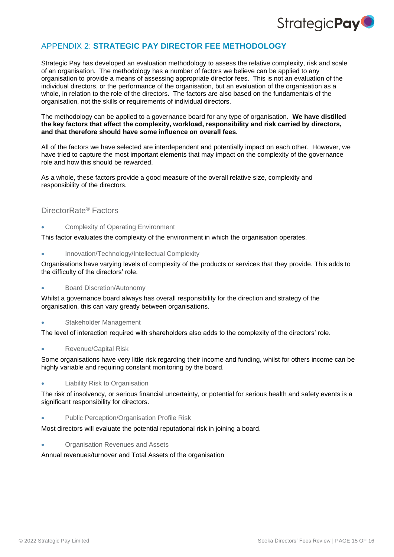

## APPENDIX 2: **STRATEGIC PAY DIRECTOR FEE METHODOLOGY**

Strategic Pay has developed an evaluation methodology to assess the relative complexity, risk and scale of an organisation. The methodology has a number of factors we believe can be applied to any organisation to provide a means of assessing appropriate director fees. This is not an evaluation of the individual directors, or the performance of the organisation, but an evaluation of the organisation as a whole, in relation to the role of the directors. The factors are also based on the fundamentals of the organisation, not the skills or requirements of individual directors.

The methodology can be applied to a governance board for any type of organisation. **We have distilled the key factors that affect the complexity, workload, responsibility and risk carried by directors, and that therefore should have some influence on overall fees.**

All of the factors we have selected are interdependent and potentially impact on each other. However, we have tried to capture the most important elements that may impact on the complexity of the governance role and how this should be rewarded.

As a whole, these factors provide a good measure of the overall relative size, complexity and responsibility of the directors.

## DirectorRate® Factors

• Complexity of Operating Environment

This factor evaluates the complexity of the environment in which the organisation operates.

• Innovation/Technology/Intellectual Complexity

Organisations have varying levels of complexity of the products or services that they provide. This adds to the difficulty of the directors' role.

#### • Board Discretion/Autonomy

Whilst a governance board always has overall responsibility for the direction and strategy of the organisation, this can vary greatly between organisations.

Stakeholder Management

The level of interaction required with shareholders also adds to the complexity of the directors' role.

• Revenue/Capital Risk

Some organisations have very little risk regarding their income and funding, whilst for others income can be highly variable and requiring constant monitoring by the board.

• Liability Risk to Organisation

The risk of insolvency, or serious financial uncertainty, or potential for serious health and safety events is a significant responsibility for directors.

• Public Perception/Organisation Profile Risk

Most directors will evaluate the potential reputational risk in joining a board.

• Organisation Revenues and Assets

Annual revenues/turnover and Total Assets of the organisation